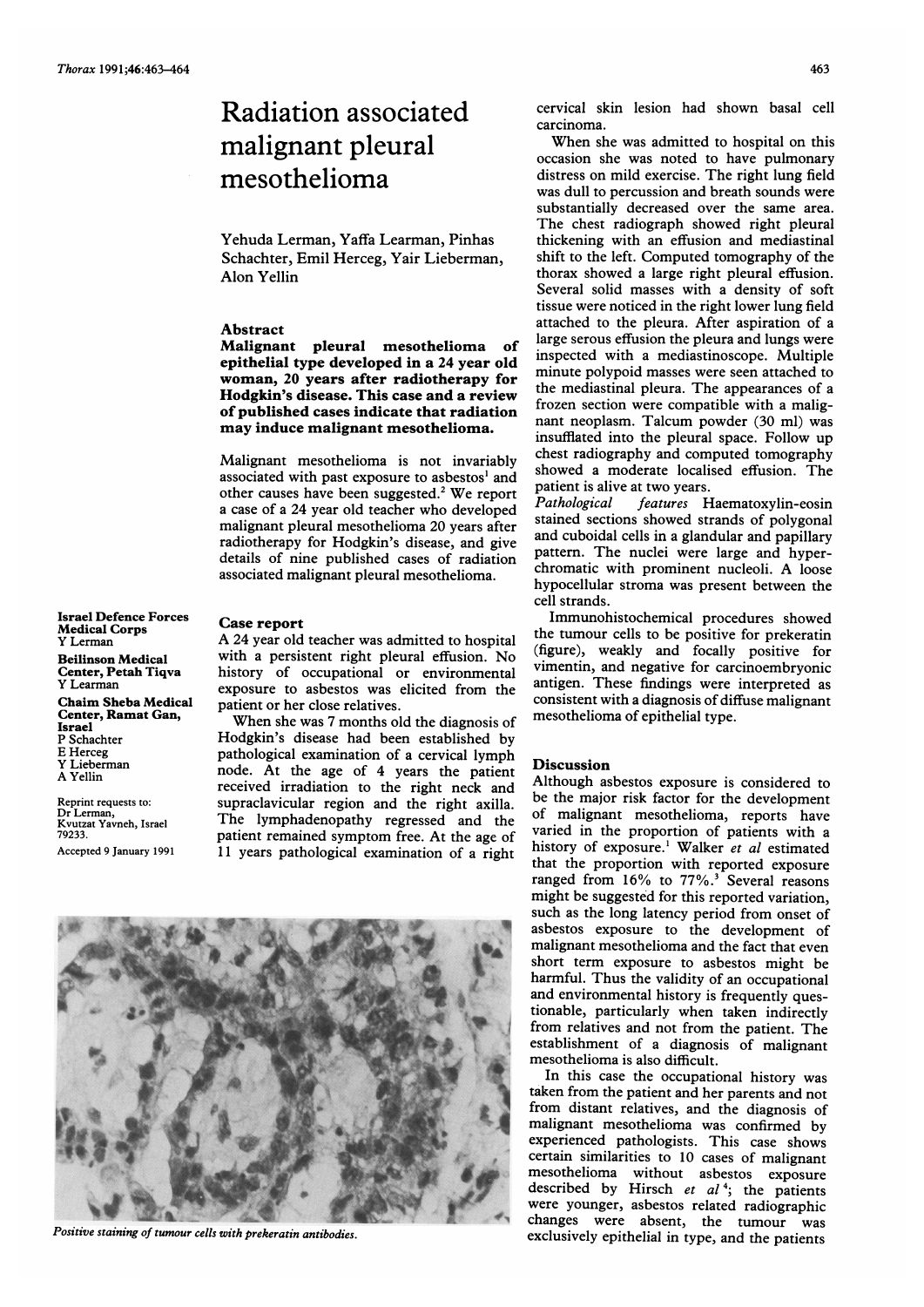## Radiation associated malignant pleural mesothelioma

Yehuda Lerman, Yaffa Learman, Pinhas Schachter, Emil Herceg, Yair Lieberman, Alon Yellin

## Abstract

Malignant pleural mesothelioma of epithelial type developed in a 24 year old woman, 20 years after radiotherapy for Hodgkin's disease. This case and a review of published cases indicate that radiation may induce malignant mesothelioma.

Malignant mesothelioma is not invariably associated with past exposure to asbestos' and other causes have been suggested.2 We report <sup>a</sup> case of <sup>a</sup> 24 year old teacher who developed malignant pleural mesothelioma 20 years after radiotherapy for Hodgkin's disease, and give details of nine published cases of radiation associated malignant pleural mesothelioma.

Israel Defence Forces Medical Corps Y Lerman Beilinson Medical Center, Petah Tiqva Y Learman Chaim Sheba Medical Center, Ramat Gan, Israel P Schachter E Herceg Y Lieberman A Yellin

Reprint requests to: Dr Lerman, Kvutzat Yavneh, Israel 79233.

Accepted 9 January 1991

## Case report

A <sup>24</sup> year old teacher was admitted to hospital with <sup>a</sup> persistent right pleural effusion. No history of occupational or environmental exposure to asbestos was elicited from the patient or her close relatives.

When she was <sup>7</sup> months old the diagnosis of Hodgkin's disease had been established by pathological examination of a cervical lymph node. At the age of 4 years the patient received irradiation to the right neck and supraclavicular region and the right axilla. The lymphadenopathy regressed and the patient remained symptom free. At the age of 11 years pathological examination of a right



cervical skin lesion had shown basal cell carcinoma.

When she was admitted to hospital on this occasion she was noted to have pulmonary distress on mild exercise. The right lung field was dull to percussion and breath sounds were substantially decreased over the same area. The chest radiograph showed right pleural thickening with an effusion and mediastinal shift to the left. Computed tomography of the thorax showed a large right pleural effusion. Several solid masses with a density of soft tissue were noticed in the right lower lung field attached to the pleura. After aspiration of a large serous effusion the pleura and lungs were inspected with a mediastinoscope. Multiple minute polypoid masses were seen attached to the mediastinal pleura. The appearances of <sup>a</sup> frozen section were compatible with a malignant neoplasm. Talcum powder (30 ml) was insufflated into the pleural space. Follow up chest radiography and computed tomography showed a moderate localised effusion. The patient is alive at two years.<br>Pathological features H

features Haematoxylin-eosin stained sections showed strands of polygonal and cuboidal cells in <sup>a</sup> glandular and papillary pattern. The nuclei were large and hyperchromatic with prominent nucleoli. A loose hypocellular stroma was present between the cell strands.

Immunohistochemical procedures showed the tumour cells to be positive for prekeratin (figure), weakly and focally positive for vimentin, and negative for carcinoembryonic antigen. These findings were interpreted as consistent with a diagnosis of diffuse malignant mesothelioma of epithelial type.

## Discussion

Although asbestos exposure is considered to be the major risk factor for the development of malignant mesothelioma, reports have varied in the proportion of patients with a history of exposure.<sup>1</sup> Walker et al estimated that the proportion with reported exposure ranged from  $16\%$  to  $77\%$ .<sup>3</sup> Several reasons might be suggested for this reported variation, such as the long latency period from onset of asbestos exposure to the development of malignant mesothelioma and the fact that even short term exposure to asbestos might be harmful. Thus the validity of an occupational and environmental history is frequently questionable, particularly when taken indirectly from relatives and not from the patient. The establishment of a diagnosis of malignant mesothelioma is also difficult.

In this case the occupational history was taken from the patient and her parents and not from distant relatives, and the diagnosis of malignant mesothelioma was confirmed by experienced pathologists. This case shows certain similarities to 10 cases of malignant mesothelioma without asbestos exposure described by Hirsch et  $al^4$ ; the patients were younger, asbestos related radiographic changes were absent, the tumour was Positive staining of tumour cells with prekeratin antibodies. The exclusively epithelial in type, and the patients